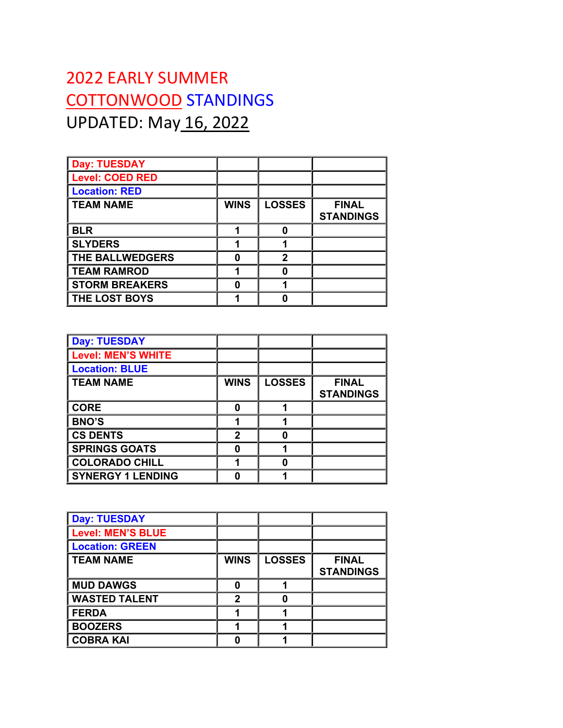## 2022 EARLY SUMMER COTTONWOOD STANDINGS UPDATED: May 16, 2022

| <b>Day: TUESDAY</b>    |             |               |                                  |
|------------------------|-------------|---------------|----------------------------------|
| <b>Level: COED RED</b> |             |               |                                  |
| <b>Location: RED</b>   |             |               |                                  |
| <b>TEAM NAME</b>       | <b>WINS</b> | <b>LOSSES</b> | <b>FINAL</b><br><b>STANDINGS</b> |
| <b>BLR</b>             |             | 0             |                                  |
| <b>SLYDERS</b>         |             | 1             |                                  |
| <b>THE BALLWEDGERS</b> | n           | $\mathbf{2}$  |                                  |
| <b>TEAM RAMROD</b>     |             | O             |                                  |
| <b>STORM BREAKERS</b>  | Λ           | 4             |                                  |
| <b>THE LOST BOYS</b>   |             | n             |                                  |

| <b>Day: TUESDAY</b>       |             |               |                                  |
|---------------------------|-------------|---------------|----------------------------------|
| <b>Level: MEN'S WHITE</b> |             |               |                                  |
| <b>Location: BLUE</b>     |             |               |                                  |
| <b>TEAM NAME</b>          | <b>WINS</b> | <b>LOSSES</b> | <b>FINAL</b><br><b>STANDINGS</b> |
| <b>CORE</b>               | O           |               |                                  |
| <b>BNO'S</b>              |             |               |                                  |
| <b>CS DENTS</b>           | 2           |               |                                  |
| <b>SPRINGS GOATS</b>      | Λ           |               |                                  |
| <b>COLORADO CHILL</b>     |             |               |                                  |
| <b>SYNERGY 1 LENDING</b>  |             |               |                                  |

| <b>Day: TUESDAY</b>      |             |               |                                  |
|--------------------------|-------------|---------------|----------------------------------|
| <b>Level: MEN'S BLUE</b> |             |               |                                  |
| <b>Location: GREEN</b>   |             |               |                                  |
| <b>TEAM NAME</b>         | <b>WINS</b> | <b>LOSSES</b> | <b>FINAL</b><br><b>STANDINGS</b> |
| <b>MUD DAWGS</b>         | O           |               |                                  |
| <b>WASTED TALENT</b>     | 2           |               |                                  |
| <b>FERDA</b>             |             |               |                                  |
| <b>BOOZERS</b>           |             |               |                                  |
| <b>COBRA KAI</b>         |             |               |                                  |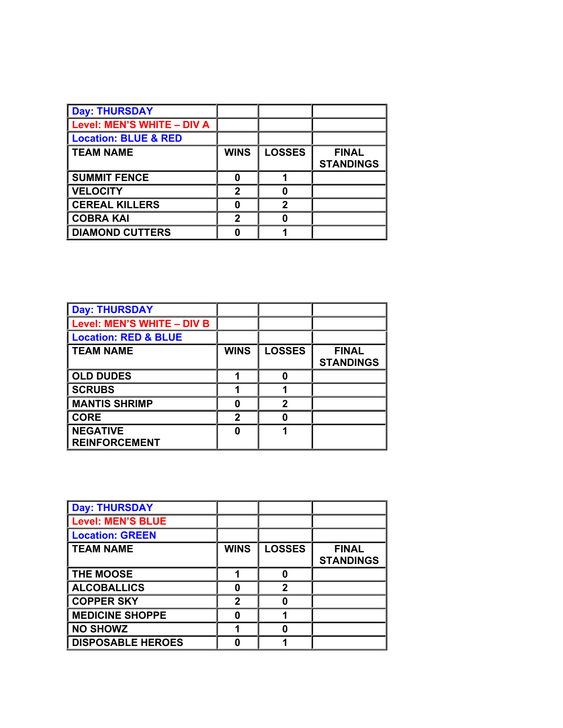| <b>Day: THURSDAY</b>            |             |               |                                  |
|---------------------------------|-------------|---------------|----------------------------------|
| Level: MEN'S WHITE - DIV A      |             |               |                                  |
| <b>Location: BLUE &amp; RED</b> |             |               |                                  |
| <b>TEAM NAME</b>                | <b>WINS</b> | <b>LOSSES</b> | <b>FINAL</b><br><b>STANDINGS</b> |
| <b>SUMMIT FENCE</b>             | n           |               |                                  |
| <b>VELOCITY</b>                 | 2           |               |                                  |
| <b>CEREAL KILLERS</b>           |             | 2             |                                  |
| <b>COBRA KAI</b>                | 2           |               |                                  |
| <b>DIAMOND CUTTERS</b>          |             |               |                                  |

| <b>Day: THURSDAY</b>            |             |               |                  |
|---------------------------------|-------------|---------------|------------------|
| Level: MEN'S WHITE - DIV B      |             |               |                  |
| <b>Location: RED &amp; BLUE</b> |             |               |                  |
| <b>TEAM NAME</b>                | <b>WINS</b> | <b>LOSSES</b> | <b>FINAL</b>     |
|                                 |             |               | <b>STANDINGS</b> |
| <b>OLD DUDES</b>                |             | O             |                  |
| <b>SCRUBS</b>                   |             |               |                  |
| <b>MANTIS SHRIMP</b>            | Λ           | 2             |                  |
| <b>CORE</b>                     | 2           | 0             |                  |
| <b>NEGATIVE</b>                 | n           |               |                  |
| <b>REINFORCEMENT</b>            |             |               |                  |

| <b>Day: THURSDAY</b>     |              |               |                                  |
|--------------------------|--------------|---------------|----------------------------------|
| <b>Level: MEN'S BLUE</b> |              |               |                                  |
| <b>Location: GREEN</b>   |              |               |                                  |
| <b>TEAM NAME</b>         | <b>WINS</b>  | <b>LOSSES</b> | <b>FINAL</b><br><b>STANDINGS</b> |
| <b>THE MOOSE</b>         |              | 0             |                                  |
| <b>ALCOBALLICS</b>       | Λ            | $\mathbf{2}$  |                                  |
| <b>COPPER SKY</b>        | $\mathbf{2}$ | 0             |                                  |
| <b>MEDICINE SHOPPE</b>   |              |               |                                  |
| <b>NO SHOWZ</b>          |              | 0             |                                  |
| <b>DISPOSABLE HEROES</b> |              |               |                                  |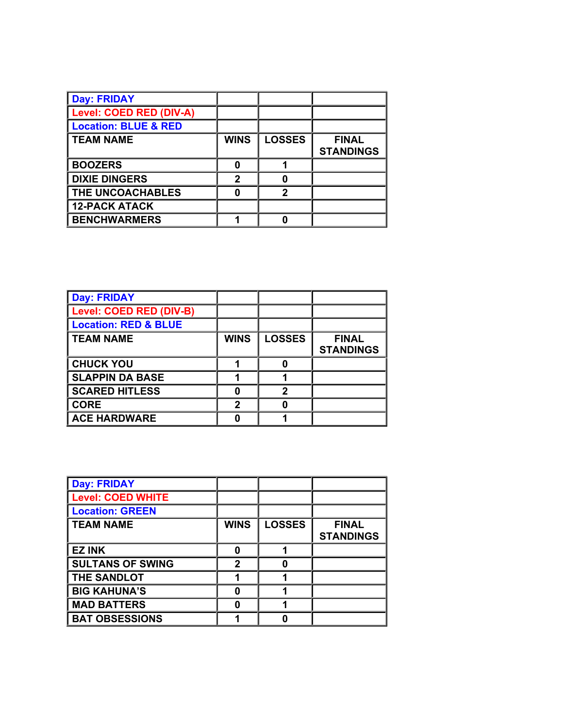| <b>Day: FRIDAY</b>              |             |               |                                  |
|---------------------------------|-------------|---------------|----------------------------------|
| Level: COED RED (DIV-A)         |             |               |                                  |
| <b>Location: BLUE &amp; RED</b> |             |               |                                  |
| <b>TEAM NAME</b>                | <b>WINS</b> | <b>LOSSES</b> | <b>FINAL</b><br><b>STANDINGS</b> |
| <b>BOOZERS</b>                  | ŋ           |               |                                  |
| <b>DIXIE DINGERS</b>            | 2           |               |                                  |
| THE UNCOACHABLES                | ŋ           | 2             |                                  |
| <b>12-PACK ATACK</b>            |             |               |                                  |
| <b>BENCHWARMERS</b>             |             |               |                                  |

| <b>Day: FRIDAY</b>              |             |               |                                  |
|---------------------------------|-------------|---------------|----------------------------------|
| Level: COED RED (DIV-B)         |             |               |                                  |
| <b>Location: RED &amp; BLUE</b> |             |               |                                  |
| <b>TEAM NAME</b>                | <b>WINS</b> | <b>LOSSES</b> | <b>FINAL</b><br><b>STANDINGS</b> |
| <b>CHUCK YOU</b>                |             | 0             |                                  |
| <b>SLAPPIN DA BASE</b>          |             |               |                                  |
| <b>SCARED HITLESS</b>           |             | 2             |                                  |
| <b>CORE</b>                     | 2           | 0             |                                  |
| <b>ACE HARDWARE</b>             |             |               |                                  |

| <b>Day: FRIDAY</b>       |             |               |                                  |
|--------------------------|-------------|---------------|----------------------------------|
| <b>Level: COED WHITE</b> |             |               |                                  |
| <b>Location: GREEN</b>   |             |               |                                  |
| <b>TEAM NAME</b>         | <b>WINS</b> | <b>LOSSES</b> | <b>FINAL</b><br><b>STANDINGS</b> |
| <b>EZ INK</b>            | O           |               |                                  |
| <b>SULTANS OF SWING</b>  | 2           | 0             |                                  |
| THE SANDLOT              |             |               |                                  |
| <b>BIG KAHUNA'S</b>      | ŋ           |               |                                  |
| <b>MAD BATTERS</b>       | n           |               |                                  |
| <b>BAT OBSESSIONS</b>    |             |               |                                  |